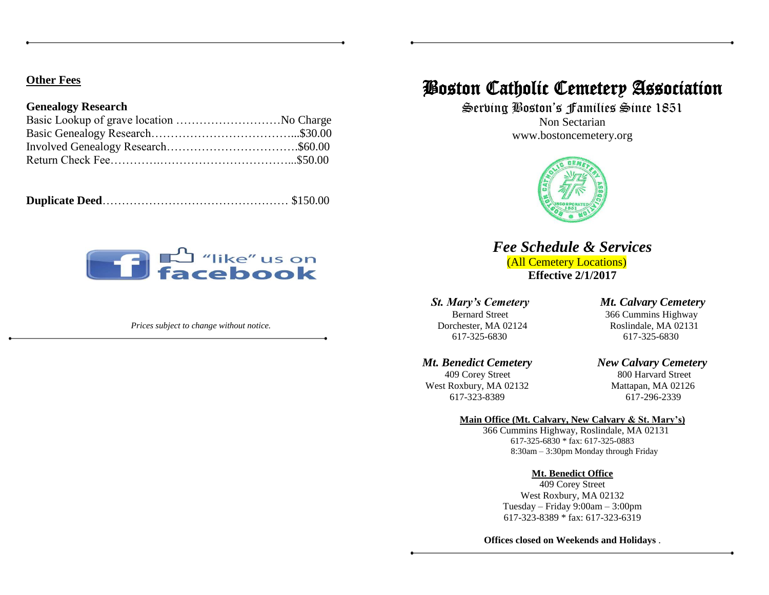#### **Other Fees**

#### **Genealogy Research**

|--|--|

# **The Contract of the Contract of the Contract of the Contract of the Contract of the Contract of The Contract o**

*Prices subject to change without notice.*

## Boston Catholic Cemetery Association

Serving Boston's Families Since 1851

Non Sectarian www.bostoncemetery.org



## *Fee Schedule & Services*

 (All Cemetery Locations) **Effective 2/1/2017**

Dorchester, MA 02124 Roslindale, MA 02131 617-325-6830 617-325-6830

409 Corey Street 800 Harvard Street West Roxbury, MA 02132 Mattapan, MA 02126 617-323-8389 617-296-2339

#### *St. Mary's Cemetery Mt. Calvary Cemetery*

Bernard Street 366 Cummins Highway

### *Mt. Benedict Cemetery New Calvary Cemetery*

#### **Main Office (Mt. Calvary, New Calvary & St. Mary's)**

366 Cummins Highway, Roslindale, MA 02131 617-325-6830 \* fax: 617-325-0883 8:30am – 3:30pm Monday through Friday

#### **Mt. Benedict Office**

409 Corey Street West Roxbury, MA 02132 Tuesday – Friday 9:00am – 3:00pm 617-323-8389 \* fax: 617-323-6319

**Offices closed on Weekends and Holidays** .